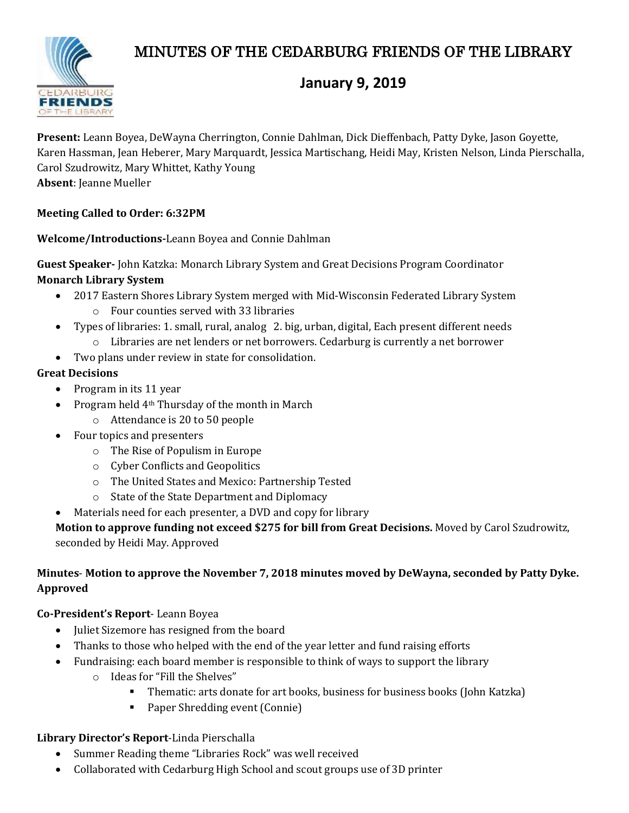# MINUTES OF THE CEDARBURG FRIENDS OF THE LIBRARY



## **January 9, 2019**

**Present:** Leann Boyea, DeWayna Cherrington, Connie Dahlman, Dick Dieffenbach, Patty Dyke, Jason Goyette, Karen Hassman, Jean Heberer, Mary Marquardt, Jessica Martischang, Heidi May, Kristen Nelson, Linda Pierschalla, Carol Szudrowitz, Mary Whittet, Kathy Young **Absent**: Jeanne Mueller

#### **Meeting Called to Order: 6:32PM**

**Welcome/Introductions-**Leann Boyea and Connie Dahlman

**Guest Speaker-** John Katzka: Monarch Library System and Great Decisions Program Coordinator **Monarch Library System**

- 2017 Eastern Shores Library System merged with Mid-Wisconsin Federated Library System
	- o Four counties served with 33 libraries
- Types of libraries: 1. small, rural, analog 2. big, urban, digital, Each present different needs
	- o Libraries are net lenders or net borrowers. Cedarburg is currently a net borrower
- Two plans under review in state for consolidation.

#### **Great Decisions**

- Program in its 11 year
- Program held 4<sup>th</sup> Thursday of the month in March
	- o Attendance is 20 to 50 people
- Four topics and presenters
	- o The Rise of Populism in Europe
	- o Cyber Conflicts and Geopolitics
	- o The United States and Mexico: Partnership Tested
	- o State of the State Department and Diplomacy
- Materials need for each presenter, a DVD and copy for library

**Motion to approve funding not exceed \$275 for bill from Great Decisions.** Moved by Carol Szudrowitz, seconded by Heidi May. Approved

#### **Minutes**- **Motion to approve the November 7, 2018 minutes moved by DeWayna, seconded by Patty Dyke. Approved**

#### **Co-President's Report**- Leann Boyea

- Juliet Sizemore has resigned from the board
- Thanks to those who helped with the end of the year letter and fund raising efforts
- Fundraising: each board member is responsible to think of ways to support the library
	- o Ideas for "Fill the Shelves"
		- Thematic: arts donate for art books, business for business books (John Katzka)
		- **Paper Shredding event (Connie)**

#### **Library Director's Report**-Linda Pierschalla

- Summer Reading theme "Libraries Rock" was well received
- Collaborated with Cedarburg High School and scout groups use of 3D printer